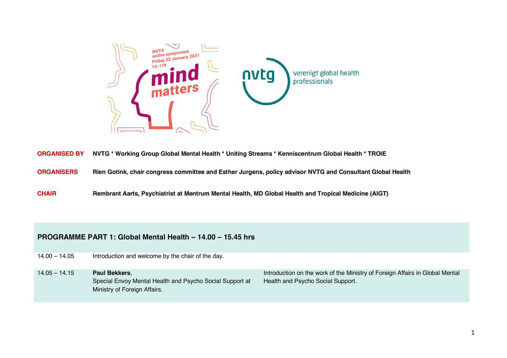

|  |  |  |  | ORGANISED BY NVTG * Working Group Global Mental Health * Uniting Streams * Kenniscentrum Global Health * TROIE |  |
|--|--|--|--|----------------------------------------------------------------------------------------------------------------|--|
|--|--|--|--|----------------------------------------------------------------------------------------------------------------|--|

**ORGANISERS Rien Gotink, chair congress committee and Esther Jurgens, policy advisor NVTG and Consultant Global Health**

**CHAIR Rembrant Aarts, Psychiatrist at Mentrum Mental Health, MD Global Health and Tropical Medicine (AIGT)**

## **PROGRAMME PART 1: Global Mental Health – 14.00 – 15.45 hrs**

14.00 – 14.05 Introduction and welcome by the chair of the day.

14.05 – 14.15 **Paul Bekkers**, Special Envoy Mental Health and Psycho Social Support at Ministry of Foreign Affairs.

Introduction on the work of the Ministry of Foreign Affairs in Global Mental Health and Psycho Social Support.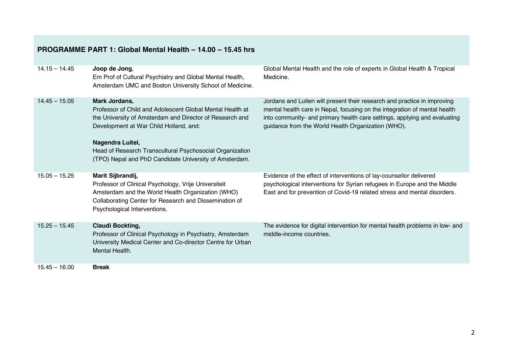## **PROGRAMME PART 1: Global Mental Health – 14.00 – 15.45 hrs**

| $14.15 - 14.45$ | Joop de Jong,<br>Em Prof of Cultural Psychiatry and Global Mental Health,<br>Amsterdam UMC and Boston University School of Medicine.                                                                                                                                                                                       | Global Mental Health and the role of experts in Global Health & Tropical<br>Medicine.                                                                                                                                                                                                    |
|-----------------|----------------------------------------------------------------------------------------------------------------------------------------------------------------------------------------------------------------------------------------------------------------------------------------------------------------------------|------------------------------------------------------------------------------------------------------------------------------------------------------------------------------------------------------------------------------------------------------------------------------------------|
| $14.45 - 15.05$ | Mark Jordans,<br>Professor of Child and Adolescent Global Mental Health at<br>the University of Amsterdam and Director of Research and<br>Development at War Child Holland, and:<br>Nagendra Luitel,<br>Head of Research Transcultural Psychosocial Organization<br>(TPO) Nepal and PhD Candidate University of Amsterdam. | Jordans and Luiten will present their research and practice in improving<br>mental health care in Nepal, focusing on the integration of mental health<br>into community- and primary health care settings, applying and evaluating<br>guidance from the World Health Organization (WHO). |
| $15.05 - 15.25$ | Marit Sijbrandij,<br>Professor of Clinical Psychology, Vrije Universiteit<br>Amsterdam and the World Health Organization (WHO)<br>Collaborating Center for Research and Dissemination of<br>Psychological Interventions.                                                                                                   | Evidence of the effect of interventions of lay-counsellor delivered<br>psychological interventions for Syrian refugees in Europe and the Middle<br>East and for prevention of Covid-19 related stress and mental disorders.                                                              |
| $15.25 - 15.45$ | <b>Claudi Bockting,</b><br>Professor of Clinical Psychology in Psychiatry, Amsterdam<br>University Medical Center and Co-director Centre for Urban<br>Mental Health.                                                                                                                                                       | The evidence for digital intervention for mental health problems in low- and<br>middle-income countries.                                                                                                                                                                                 |
| $15.45 - 16.00$ | <b>Break</b>                                                                                                                                                                                                                                                                                                               |                                                                                                                                                                                                                                                                                          |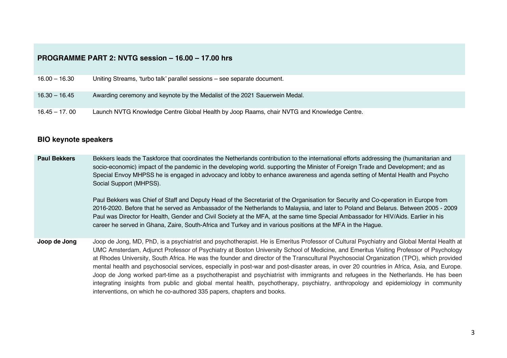## **PROGRAMME PART 2: NVTG session – 16.00 – 17.00 hrs**

| $16.00 - 16.30$ | Uniting Streams, 'turbo talk' parallel sessions - see separate document.                   |
|-----------------|--------------------------------------------------------------------------------------------|
|                 |                                                                                            |
|                 |                                                                                            |
|                 |                                                                                            |
| $16.30 - 16.45$ | Awarding ceremony and keynote by the Medalist of the 2021 Sauerwein Medal.                 |
|                 |                                                                                            |
|                 |                                                                                            |
|                 |                                                                                            |
| $16.45 - 17.00$ | Launch NVTG Knowledge Centre Global Health by Joop Raams, chair NVTG and Knowledge Centre. |
|                 |                                                                                            |

## **BIO keynote speakers**

**Paul Bekkers** Bekkers leads the Taskforce that coordinates the Netherlands contribution to the international efforts addressing the (humanitarian and socio-economic) impact of the pandemic in the developing world. supporting the Minister of Foreign Trade and Development; and as Special Envoy MHPSS he is engaged in advocacy and lobby to enhance awareness and agenda setting of Mental Health and Psycho Social Support (MHPSS).

> Paul Bekkers was Chief of Staff and Deputy Head of the Secretariat of the Organisation for Security and Co-operation in Europe from 2016-2020. Before that he served as Ambassador of the Netherlands to Malaysia, and later to Poland and Belarus. Between 2005 - 2009 Paul was Director for Health, Gender and Civil Society at the MFA, at the same time Special Ambassador for HIV/Aids. Earlier in his career he served in Ghana, Zaire, South-Africa and Turkey and in various positions at the MFA in the Hague.

**Joop de Jong** Joop de Jong, MD, PhD, is a psychiatrist and psychotherapist. He is Emeritus Professor of Cultural Psychiatry and Global Mental Health at UMC Amsterdam, Adjunct Professor of Psychiatry at Boston University School of Medicine, and Emeritus Visiting Professor of Psychology at Rhodes University, South Africa. He was the founder and director of the Transcultural Psychosocial Organization (TPO), which provided mental health and psychosocial services, especially in post-war and post-disaster areas, in over 20 countries in Africa, Asia, and Europe. Joop de Jong worked part-time as a psychotherapist and psychiatrist with immigrants and refugees in the Netherlands. He has been integrating insights from public and global mental health, psychotherapy, psychiatry, anthropology and epidemiology in community interventions, on which he co-authored 335 papers, chapters and books.